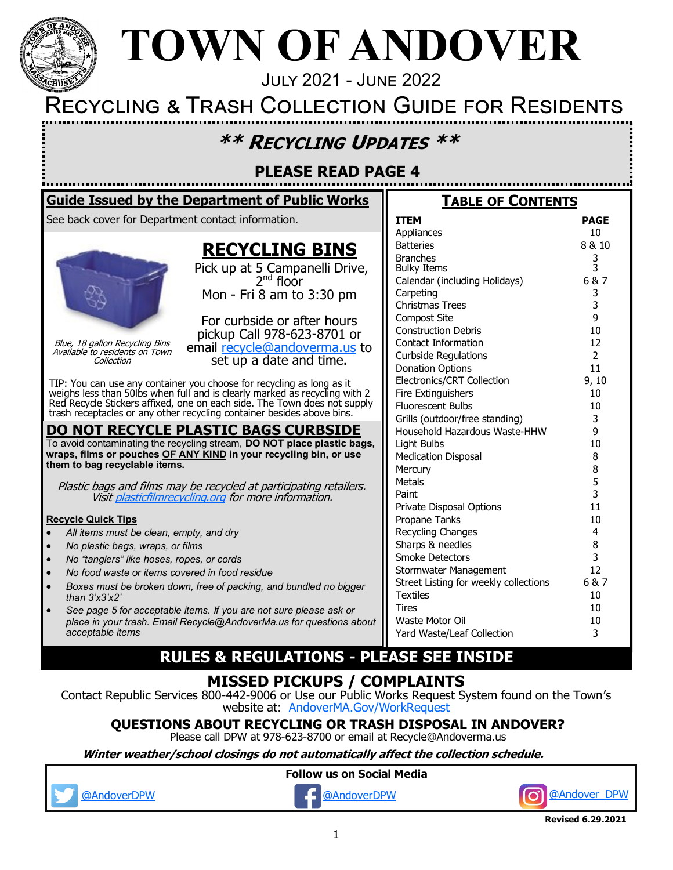

# **TOWN OF ANDOVER**

July 2021 - June 2022

## Recycling & Trash Collection Guide for Residents

## **\*\* RECYCLING UPDATES \*\***

## **PLEASE READ PAGE 4**

### **Guide Issued by the Department of Public Works**

See back cover for Department contact information.



Blue, 18 gallon Recycling Bins Available to residents on Town Collection

## **RECYCLING BINS**

Pick up at 5 Campanelli Drive,  $2<sup>nd</sup>$  floor Mon - Fri 8 am to 3:30 pm

For curbside or after hours pickup Call 978-623-8701 or email [recycle@andoverma.us](mailto:recycle@andoverma.us?subject=Recycle%20Bins) to set up a date and time.

TIP: You can use any container you choose for recycling as long as it weighs less than 50lbs when full and is clearly marked as recycling with 2 Red Recycle Stickers affixed, one on each side. The Town does not supply trash receptacles or any other recycling container besides above bins.

### **DO NOT RECYCLE PLASTIC BAGS CURBSIDE**

To avoid contaminating the recycling stream, **DO NOT place plastic bags, wraps, films or pouches OF ANY KIND in your recycling bin, or use them to bag recyclable items.** 

Plastic bags and films may be recycled at participating retailers. Visit [plasticfilmrecycling.org](https://www.plasticfilmrecycling.org/) for more information.

#### **Recycle Quick Tips**

- *All items must be clean, empty, and dry*
- *No plastic bags, wraps, or films*
- *No "tanglers" like hoses, ropes, or cords*
- *No food waste or items covered in food residue*
- *Boxes must be broken down, free of packing, and bundled no bigger than 3'x3'x2'*
- *See page 5 for acceptable items. If you are not sure please ask or place in your trash. Email Recycle@AndoverMa.us for questions about acceptable items*

### **ITEM PAGE**

**TABLE OF CONTENTS**

| Appliances                            | 10             |
|---------------------------------------|----------------|
| <b>Batteries</b>                      | 8 & 10         |
| <b>Branches</b><br><b>Bulky Items</b> | 3<br>3         |
| Calendar (including Holidays)         | 6&7            |
| Carpeting                             |                |
| <b>Christmas Trees</b>                | 3<br>3         |
| <b>Compost Site</b>                   | 9              |
| <b>Construction Debris</b>            | 10             |
| Contact Information                   | 12             |
| <b>Curbside Regulations</b>           | $\overline{2}$ |
| <b>Donation Options</b>               | 11             |
| Electronics/CRT Collection            | 9, 10          |
| <b>Fire Extinguishers</b>             | 10             |
| <b>Fluorescent Bulbs</b>              | 10             |
| Grills (outdoor/free standing)        | 3              |
| Household Hazardous Waste-HHW         | 9              |
| Light Bulbs                           | 10             |
| <b>Medication Disposal</b>            | 8              |
| Mercury                               | 8              |
| <b>Metals</b>                         | 5              |
| Paint                                 | 3              |
| Private Disposal Options              | 11             |
| Propane Tanks                         | 10             |
| Recycling Changes                     | 4              |
| Sharps & needles                      | 8              |
| <b>Smoke Detectors</b>                | 3              |
| Stormwater Management                 | 12             |
| Street Listing for weekly collections | 6&7            |
| <b>Textiles</b>                       | 10             |
| Tires                                 | 10             |
| Waste Motor Oil                       | 10             |
| Yard Waste/Leaf Collection            | 3              |

## **RULES & REGULATIONS - PLEASE SEE INSIDE**

## **MISSED PICKUPS / COMPLAINTS**

Contact Republic Services 800-442-9006 or Use our Public Works Request System found on the Town's website at: [AndoverMA.Gov/WorkRequest](https://andoverma.gov/607/Public-Works-Request)

**QUESTIONS ABOUT RECYCLING OR TRASH DISPOSAL IN ANDOVER?** 

Please call DPW at 978-623-8700 or email at [Recycle@Andoverma.us](mailto:recycle@andoverma.us)

**Winter weather/school closings do not automatically affect the collection schedule.**

**Follow us on Social Media**





**Revised 6.29.2021**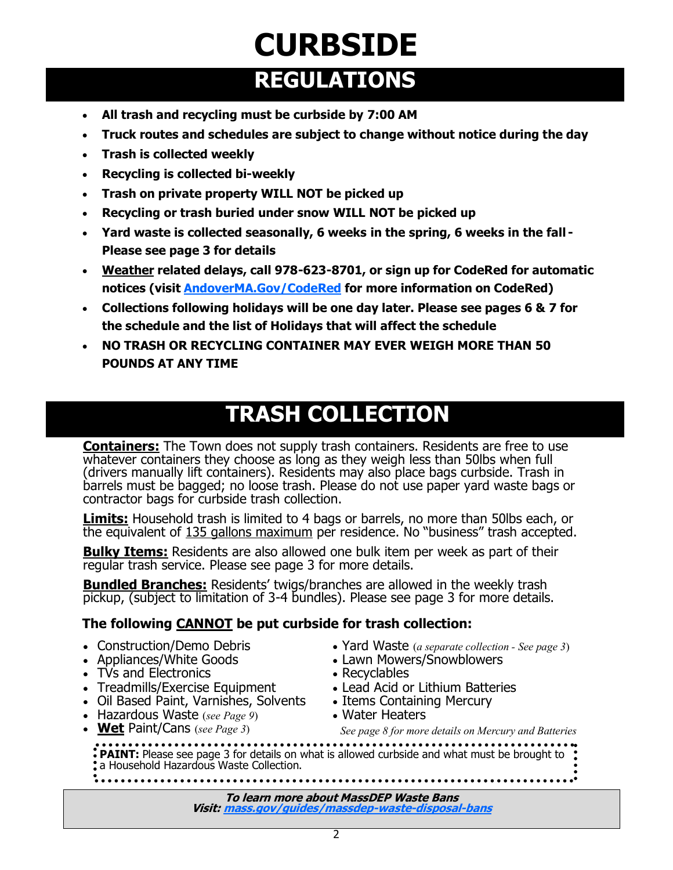## **CURBSIDE REGULATIONS**

- **All trash and recycling must be curbside by 7:00 AM**
- **Truck routes and schedules are subject to change without notice during the day**
- **Trash is collected weekly**
- **Recycling is collected bi-weekly**
- **Trash on private property WILL NOT be picked up**
- **Recycling or trash buried under snow WILL NOT be picked up**
- **Yard waste is collected seasonally, 6 weeks in the spring, 6 weeks in the fall - Please see page 3 for details**
- **Weather related delays, call 978-623-8701, or sign up for CodeRed for automatic notices (visit [AndoverMA.Gov/CodeRed](https://public.coderedweb.com/CNE/en-US/BF240F568DA1) for more information on CodeRed)**
- **Collections following holidays will be one day later. Please see pages 6 & 7 for the schedule and the list of Holidays that will affect the schedule**
- **NO TRASH OR RECYCLING CONTAINER MAY EVER WEIGH MORE THAN 50 POUNDS AT ANY TIME**

## **TRASH COLLECTION**

**Containers:** The Town does not supply trash containers. Residents are free to use whatever containers they choose as long as they weigh less than 50lbs when full (drivers manually lift containers). Residents may also place bags curbside. Trash in barrels must be bagged; no loose trash. Please do not use paper yard waste bags or contractor bags for curbside trash collection.

**Limits:** Household trash is limited to 4 bags or barrels, no more than 50lbs each, or the equivalent of 135 gallons maximum per residence. No "business" trash accepted.

**Bulky Items:** Residents are also allowed one bulk item per week as part of their regular trash service. Please see page 3 for more details.

**Bundled Branches:** Residents' twigs/branches are allowed in the weekly trash pickup, (subject to limitation of 3-4 bundles). Please see page 3 for more details.

### **The following CANNOT be put curbside for trash collection:**

- Construction/Demo Debris
- Appliances/White Goods
- TVs and Electronics
- Treadmills/Exercise Equipment
- Oil Based Paint, Varnishes, Solvents
- Hazardous Waste (*see Page 9*)
- 
- Yard Waste (*a separate collection - See page 3*)
- Lawn Mowers/Snowblowers
- Recyclables
- Lead Acid or Lithium Batteries
- Items Containing Mercury
- Water Heaters

### • **Wet** Paint/Cans (*see Page 3*) *See page 8 for more details on Mercury and Batteries*

**PAINT:** Please see page 3 for details on what is allowed curbside and what must be brought to : a Household Hazardous Waste Collection.

**To learn more about MassDEP Waste Bans Visit: [mass.gov/guides/massdep](https://www.mass.gov/guides/massdep-waste-disposal-bans)-waste-disposal-bans**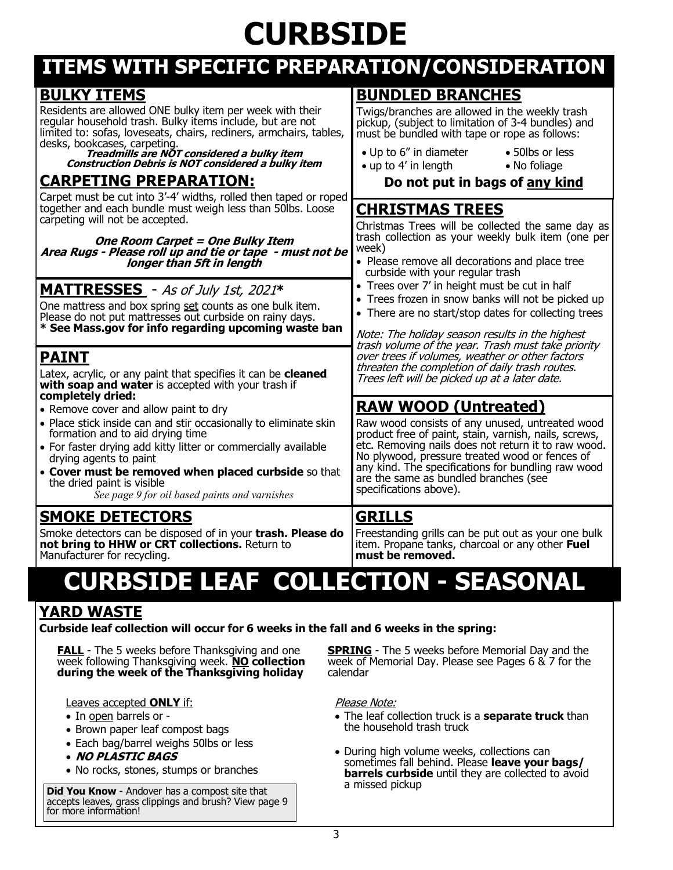# **CURBSIDE**

## **ITEMS WITH SPECIFIC PREPARATION/CONSIDERATION**

| <b>BULKY ITEMS</b>                                                                                                                                                                                                                                                                                                                      | <b>BUNDLED BRANCHES</b>                                                                                                                                                                                                                                                                                                                    |  |  |  |
|-----------------------------------------------------------------------------------------------------------------------------------------------------------------------------------------------------------------------------------------------------------------------------------------------------------------------------------------|--------------------------------------------------------------------------------------------------------------------------------------------------------------------------------------------------------------------------------------------------------------------------------------------------------------------------------------------|--|--|--|
| Residents are allowed ONE bulky item per week with their<br>regular household trash. Bulky items include, but are not<br>limited to: sofas, loveseats, chairs, recliners, armchairs, tables,                                                                                                                                            | Twigs/branches are allowed in the weekly trash<br>pickup, (subject to limitation of 3-4 bundles) and<br>must be bundled with tape or rope as follows:                                                                                                                                                                                      |  |  |  |
| desks, bookcases, carpeting.<br>Treadmills are NOT considered a bulky item<br>Construction Debris is NOT considered a bulky item                                                                                                                                                                                                        | • Up to 6" in diameter<br>• 50lbs or less<br>$\bullet$ up to 4' in length<br>• No foliage                                                                                                                                                                                                                                                  |  |  |  |
| <b>CARPETING PREPARATION:</b>                                                                                                                                                                                                                                                                                                           | Do not put in bags of any kind                                                                                                                                                                                                                                                                                                             |  |  |  |
| Carpet must be cut into 3'-4' widths, rolled then taped or roped<br>together and each bundle must weigh less than 50lbs. Loose<br>carpeting will not be accepted.                                                                                                                                                                       | <b>CHRISTMAS TREES</b><br>Christmas Trees will be collected the same day as                                                                                                                                                                                                                                                                |  |  |  |
| <b>One Room Carpet = One Bulky Item</b>                                                                                                                                                                                                                                                                                                 | trash collection as your weekly bulk item (one per<br>week)                                                                                                                                                                                                                                                                                |  |  |  |
| Area Rugs - Please roll up and tie or tape - must not be<br>longer than 5ft in length                                                                                                                                                                                                                                                   | • Please remove all decorations and place tree<br>curbside with your regular trash                                                                                                                                                                                                                                                         |  |  |  |
| <b>MATTRESSES</b> - As of July 1st, 2021*<br>One mattress and box spring set counts as one bulk item.<br>Please do not put mattresses out curbside on rainy days.<br>* See Mass.gov for info regarding upcoming waste ban                                                                                                               | • Trees over 7' in height must be cut in half<br>• Trees frozen in snow banks will not be picked up<br>• There are no start/stop dates for collecting trees<br>Note: The holiday season results in the highest                                                                                                                             |  |  |  |
| <b>PAINT</b><br>Latex, acrylic, or any paint that specifies it can be cleaned<br>with soap and water is accepted with your trash if<br>completely dried:                                                                                                                                                                                | trash volume of the year. Trash must take priority<br>over trees if volumes, weather or other factors<br>threaten the completion of daily trash routes.<br>Trees left will be picked up at a later date.                                                                                                                                   |  |  |  |
| • Remove cover and allow paint to dry                                                                                                                                                                                                                                                                                                   | <b>RAW WOOD (Untreated)</b>                                                                                                                                                                                                                                                                                                                |  |  |  |
| • Place stick inside can and stir occasionally to eliminate skin<br>formation and to aid drying time<br>• For faster drying add kitty litter or commercially available<br>drying agents to paint<br>• Cover must be removed when placed curbside so that<br>the dried paint is visible<br>See page 9 for oil based paints and varnishes | Raw wood consists of any unused, untreated wood<br>product free of paint, stain, varnish, nails, screws,<br>etc. Removing nails does not return it to raw wood.<br>No plywood, pressure treated wood or fences of<br>any kind. The specifications for bundling raw wood<br>are the same as bundled branches (see<br>specifications above). |  |  |  |
| <b>SMOKE DETECTORS</b>                                                                                                                                                                                                                                                                                                                  | <b>GRILLS</b>                                                                                                                                                                                                                                                                                                                              |  |  |  |
| Smoke detectors can be disposed of in your trash. Please do<br>not bring to HHW or CRT collections. Return to<br>Manufacturer for recycling.                                                                                                                                                                                            | Freestanding grills can be put out as your one bulk<br>item. Propane tanks, charcoal or any other Fuel<br>must be removed.                                                                                                                                                                                                                 |  |  |  |

## **CURBSIDE LEAF COLLECTION - SEASONAL**

## **YARD WASTE**

**Curbside leaf collection will occur for 6 weeks in the fall and 6 weeks in the spring:**

**FALL** - The 5 weeks before Thanksgiving and one week following Thanksgiving week. **NO collection during the week of the Thanksgiving holiday**

Leaves accepted **ONLY** if:

- In open barrels or -
- Brown paper leaf compost bags
- Each bag/barrel weighs 50lbs or less
- **NO PLASTIC BAGS**
- No rocks, stones, stumps or branches

**Did You Know** - Andover has a compost site that accepts leaves, grass clippings and brush? View page 9 for more information!

**SPRING** - The 5 weeks before Memorial Day and the week of Memorial Day. Please see Pages 6 & 7 for the calendar

#### Please Note:

- The leaf collection truck is a **separate truck** than the household trash truck
- During high volume weeks, collections can sometimes fall behind. Please **leave your bags/ barrels curbside** until they are collected to avoid a missed pickup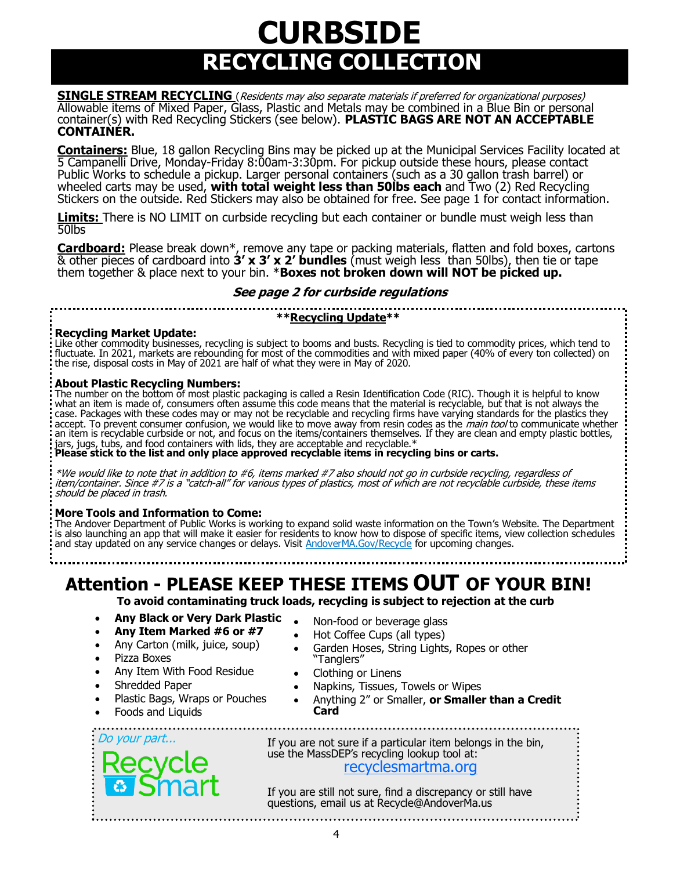## **RECYCLING COLLECTION CURBSIDE**

**SINGLE STREAM RECYCLING** (Residents may also separate materials if preferred for organizational purposes) Allowable items of Mixed Paper, Glass, Plastic and Metals may be combined in a Blue Bin or personal container(s) with Red Recycling Stickers (see below). **PLASTIC BAGS ARE NOT AN ACCEPTABLE CONTAINER.**

**Containers:** Blue, 18 gallon Recycling Bins may be picked up at the Municipal Services Facility located at 5 Campanelli Drive, Monday-Friday 8:00am-3:30pm. For pickup outside these hours, please contact Public Works to schedule a pickup. Larger personal containers (such as a 30 gallon trash barrel) or wheeled carts may be used, **with total weight less than 50lbs each** and Two (2) Red Recycling Stickers on the outside. Red Stickers may also be obtained for free. See page 1 for contact information.

**Limits:** There is NO LIMIT on curbside recycling but each container or bundle must weigh less than 50lbs

**Cardboard:** Please break down\*, remove any tape or packing materials, flatten and fold boxes, cartons & other pieces of cardboard into **3' x 3' x 2' bundles** (must weigh less than 50lbs), then tie or tape them together & place next to your bin. \***Boxes not broken down will NOT be picked up.** 

#### **See page 2 for curbside regulations**

**\*\*Recycling Update\*\*** 

#### **Recycling Market Update:**

Like other commodity businesses, recycling is subject to booms and busts. Recycling is tied to commodity prices, which tend to fluctuate. In 2021, markets are rebounding for most of the commodities and with mixed paper (40% of every ton collected) on the rise, disposal costs in May of 2021 are half of what they were in May of 2020.

#### **About Plastic Recycling Numbers:**

The number on the bottom of most plastic packaging is called a Resin Identification Code (RIC). Though it is helpful to know what an item is made of, consumers often assume this code means that the material is recyclable, but that is not always the case. Packages with these codes may or may not be recyclable and recycling firms have varying standards for the plastics they accept. To prevent consumer confusion, we would like to move away from resin codes as the *main tool* to communicate whether an item is recyclable curbside or not, and focus on the items/containers themselves. If they are clean and empty plastic bottles, jars, jugs, tubs, and food containers with lids, they are acceptable and recyclable.\*

**Please stick to the list and only place approved recyclable items in recycling bins or carts.**

\*We would like to note that in addition to #6, items marked #7 also should not go in curbside recycling, regardless of item/container. Since #7 is a "catch-all" for various types of plastics, most of which are not recyclable curbside, these items should be placed in trash.

#### **More Tools and Information to Come:**

The Andover Department of Public Works is working to expand solid waste information on the Town's Website. The Department is also launching an app that will make it easier for residents to know how to dispose of specific items, view collection schedules and stay updated on any service changes or delays. Visit AndoverMA.Gov/Recycle for upcoming changes.

**Attention - PLEASE KEEP THESE ITEMS OUT OF YOUR BIN!**

**To avoid contaminating truck loads, recycling is subject to rejection at the curb**

- **Any Black or Very Dark Plastic**
- **Any Item Marked #6 or #7**
- Any Carton (milk, juice, soup)
- Pizza Boxes
- Any Item With Food Residue
- Shredded Paper

Do your part...

- Plastic Bags, Wraps or Pouches
- Foods and Liquids
- Non-food or beverage glass
- Hot Coffee Cups (all types)
- Garden Hoses, String Lights, Ropes or other "Tanglers"
- Clothing or Linens
- Napkins, Tissues, Towels or Wipes
- Anything 2" or Smaller, **or Smaller than a Credit Card**

If you are not sure if a particular item belongs in the bin, use the MassDEP's recycling lookup tool at: [recyclesmartma.org](https://recyclesmartma.org/)

If you are still not sure, find a discrepancy or still have questions, email us at Recycle@AndoverMa.us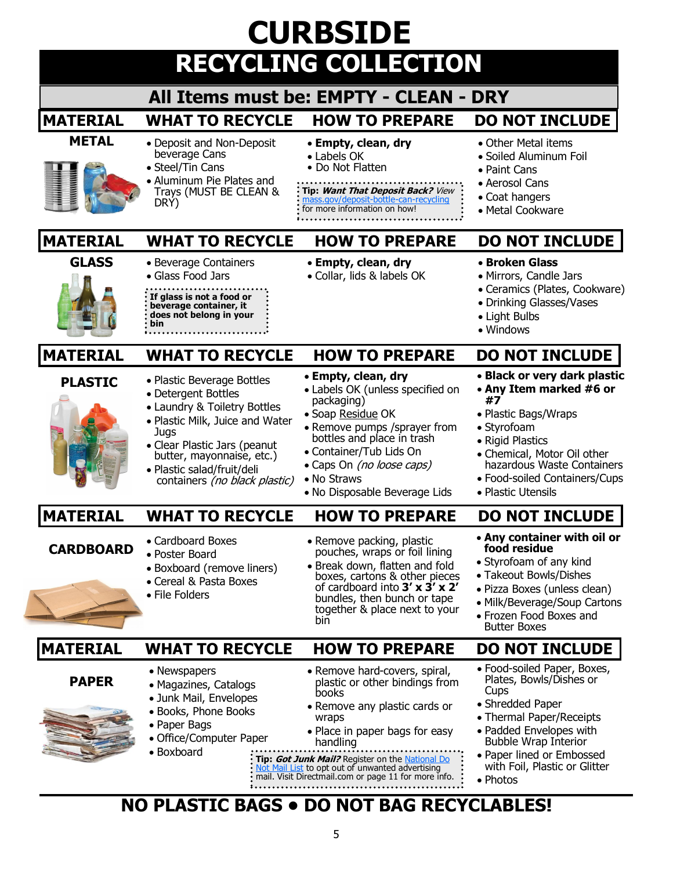| <b>CURBSIDE</b>  |                                                                                                                                                                                                                                                          |                                                                                                                                                                                                                                                                                                                                         |                                                                                                                                                                                                                                                    |  |  |
|------------------|----------------------------------------------------------------------------------------------------------------------------------------------------------------------------------------------------------------------------------------------------------|-----------------------------------------------------------------------------------------------------------------------------------------------------------------------------------------------------------------------------------------------------------------------------------------------------------------------------------------|----------------------------------------------------------------------------------------------------------------------------------------------------------------------------------------------------------------------------------------------------|--|--|
|                  |                                                                                                                                                                                                                                                          | <b>RECYCLING COLLECTION</b>                                                                                                                                                                                                                                                                                                             |                                                                                                                                                                                                                                                    |  |  |
|                  |                                                                                                                                                                                                                                                          | All Items must be: EMPTY - CLEAN - DRY                                                                                                                                                                                                                                                                                                  |                                                                                                                                                                                                                                                    |  |  |
| <b>MATERIAL</b>  | <b>WHAT TO RECYCLE</b>                                                                                                                                                                                                                                   | <b>HOW TO PREPARE</b>                                                                                                                                                                                                                                                                                                                   | <b>DO NOT INCLUDE</b>                                                                                                                                                                                                                              |  |  |
| <b>METAL</b>     | • Deposit and Non-Deposit<br>beverage Cans<br>• Steel/Tin Cans<br>• Aluminum Pie Plates and<br>Trays (MUST BE CLEAN &<br>DRY)                                                                                                                            | • Empty, clean, dry<br>• Labels OK<br>• Do Not Flatten<br>Tip: Want That Deposit Back? View<br>mass.gov/deposit-bottle-can-recycling<br>for more information on how!                                                                                                                                                                    | • Other Metal items<br>• Soiled Aluminum Foil<br>• Paint Cans<br>• Aerosol Cans<br>• Coat hangers<br>• Metal Cookware                                                                                                                              |  |  |
| <b>MATERIAL</b>  | <b>WHAT TO RECYCLE</b>                                                                                                                                                                                                                                   | <b>HOW TO PREPARE</b>                                                                                                                                                                                                                                                                                                                   | <b>DO NOT INCLUDE</b>                                                                                                                                                                                                                              |  |  |
| <b>GLASS</b>     | • Beverage Containers<br>• Glass Food Jars<br>If glass is not a food or<br>beverage container, it<br>does not belong in your<br>bin                                                                                                                      | • Empty, clean, dry<br>· Collar, lids & labels OK                                                                                                                                                                                                                                                                                       | • Broken Glass<br>• Mirrors, Candle Jars<br>• Ceramics (Plates, Cookware)<br>• Drinking Glasses/Vases<br>• Light Bulbs<br>• Windows                                                                                                                |  |  |
| <b>MATERIAL</b>  | <b>WHAT TO RECYCLE</b>                                                                                                                                                                                                                                   | <b>HOW TO PREPARE</b>                                                                                                                                                                                                                                                                                                                   | <b>DO NOT INCLUDE</b>                                                                                                                                                                                                                              |  |  |
| <b>PLASTIC</b>   | • Plastic Beverage Bottles<br>• Detergent Bottles<br>• Laundry & Toiletry Bottles<br>· Plastic Milk, Juice and Water<br>Jugs<br>• Clear Plastic Jars (peanut<br>butter, mayonnaise, etc.)<br>· Plastic salad/fruit/deli<br>containers (no black plastic) | • Empty, clean, dry<br>• Labels OK (unless specified on<br>packaging)<br>· Soap Residue OK<br>• Remove pumps /sprayer from<br>bottles and place in trash<br>• Container/Tub Lids On<br>• Caps On (no loose caps)<br>• No Straws<br>• No Disposable Beverage Lids                                                                        | • Black or very dark plastic<br>• Any Item marked #6 or<br>#7<br>• Plastic Bags/Wraps<br>• Styrofoam<br>• Rigid Plastics<br>• Chemical, Motor Oil other<br>hazardous Waste Containers<br>• Food-soiled Containers/Cups<br>• Plastic Utensils       |  |  |
| <b>MATERIAL</b>  | WHAT TO RECYCLE                                                                                                                                                                                                                                          | HOW TO PREPARE                                                                                                                                                                                                                                                                                                                          | <b>DO NOT INCLUDE</b>                                                                                                                                                                                                                              |  |  |
| <b>CARDBOARD</b> | • Cardboard Boxes<br>• Poster Board<br>• Boxboard (remove liners)<br>• Cereal & Pasta Boxes<br>• File Folders                                                                                                                                            | • Remove packing, plastic<br>pouches, wraps or foil lining<br>• Break down, flatten and fold<br>boxes, cartons & other pieces<br>of cardboard into $3' \times 3' \times 2'$<br>bundles, then bunch or tape<br>together & place next to your<br>bin                                                                                      | • Any container with oil or<br>food residue<br>• Styrofoam of any kind<br>• Takeout Bowls/Dishes<br>· Pizza Boxes (unless clean)<br>• Milk/Beverage/Soup Cartons<br>• Frozen Food Boxes and<br><b>Butter Boxes</b>                                 |  |  |
| <b>MATERIAL</b>  | <b>WHAT TO RECYCLE</b>                                                                                                                                                                                                                                   | <b>HOW TO PREPARE</b>                                                                                                                                                                                                                                                                                                                   | <b>DO NOT INCLUDE</b>                                                                                                                                                                                                                              |  |  |
| <b>PAPER</b>     | • Newspapers<br>· Magazines, Catalogs<br>· Junk Mail, Envelopes<br>· Books, Phone Books<br>• Paper Bags<br>• Office/Computer Paper<br>· Boxboard                                                                                                         | • Remove hard-covers, spiral,<br>plastic or other bindings from<br>books<br>• Remove any plastic cards or<br>wraps<br>• Place in paper bags for easy<br>handling<br>Tip: <i>Got Junk Mail?</i> Register on the National Do.<br>Not Mail List to opt out of unwanted advertising<br>mail. Visit Directmail.com or page 11 for more info. | • Food-soiled Paper, Boxes,<br>Plates, Bowls/Dishes or<br>Cups<br>• Shredded Paper<br>• Thermal Paper/Receipts<br>• Padded Envelopes with<br><b>Bubble Wrap Interior</b><br>• Paper lined or Embossed<br>with Foil, Plastic or Glitter<br>• Photos |  |  |

## **NO PLASTIC BAGS • DO NOT BAG RECYCLABLES!**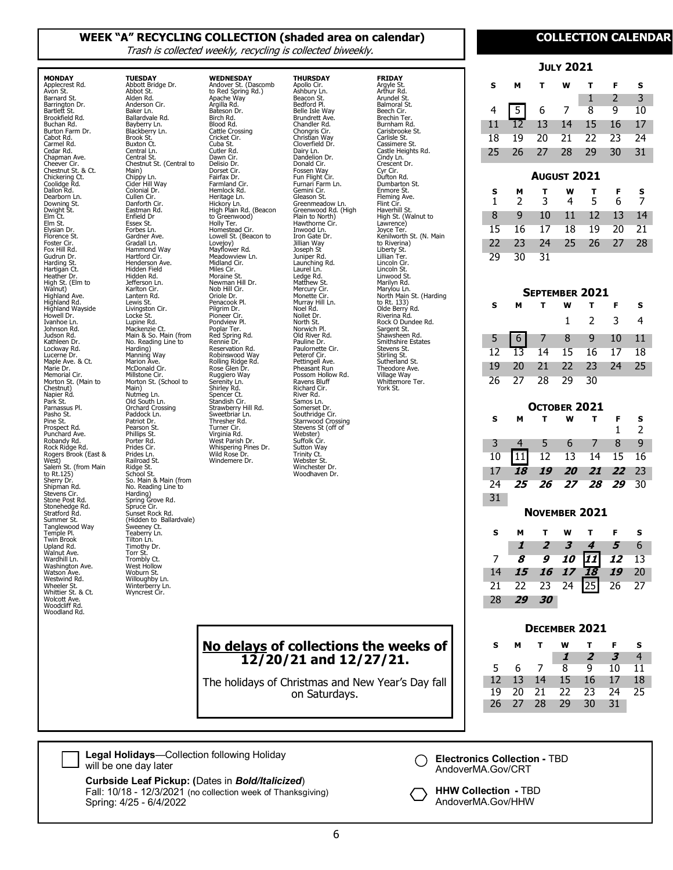#### **WEEK "A" RECYCLING COLLECTION (shaded area on calendar)**

**THURSDAY** Apollo Cir. Ashbury Ln. Beacon St. Bedford Pl. Belle Isle Way Brundrett Ave. Chandler Rd. Chongris Cir. Christian Way Cloverfield Dr. Dairy Ln. Dandelion Dr. Donald Cir. Fossen Way Fun Flight Cir. Furnari Farm Ln. Gemini Cir. Gleason St. Greenmeadow Ln. Greenwood Rd. (High Plain to North) Hawthorne Cir. Inwood Ln. Iron Gate Dr. Jillian Way Joseph St Juniper Rd. Launching Rd. Laurel Ln. Ledge Rd. Matthew<sub>St</sub> Mercury Cir. Monette Cir. Murray Hill Ln. Noel Rd. Nollet Dr. North St. Norwich Pl. Old River Rd. Pauline Dr. Paulornette Cir. Peterof Cir. Pettingell Ave. Pheasant Run Possom Hollow Rd. Ravens Bluff Richard Cir. River Rd. Samos Ln.

**FRIDAY** Argyle St. Arthur Rd. Arundel St. Balmoral St. Beech Cir. Brechin Ter. Burnham Rd. Carisbrooke St. Carlisle St. Cassimere St. Castle Heights Rd. Cindy Ln. Crescent Dr. Cyr Cir. Dufton Rd. Dumbarton St. Enmore St. Fleming Ave. Flint Cir. Haverhill St. High St. (Walnut to Lawrence) Joyce Ter. Kenilworth St. (N. Main to Riverina) Liberty St. Lillian Ter. Lincoln Cir. Lincoln St. Linwood St. Marilyn Rd.

Marylou Ln. North Main St. (Harding to Rt. 133) Olde Berry Rd. Riverina Rd. Rock O Dundee Rd. Sargent St. Shawsheen Rd. Smithshire Estates Stevens St. Stirling St. Sutherland St. Sudictional St.<br>Theodore Ave. Village Way Whittemore Ter. York St.

Somerset Dr. Southridge Cir. Starrwood Crossing Stevens St (off of

**No delays of collections the weeks of 12/20/21 and 12/27/21.**

The holidays of Christmas and New Year's Day fall on Saturdays.

Webster) Suffolk Cir. Sutton Way Trinity Ct. Webster St. Winchester Dr. Woodhaven Dr.

Trash is collected weekly, recycling is collected biweekly.

Hickory Ln. High Plain Rd. (Beacon to Greenwood) Holly Ter. Homestead Cir. Lowell St. (Beacon to Lovejoy) Mayflower Rd. Meadowview Ln. Midland Cir. Miles Cir. Moraine St. Newman Hill Dr.

Nob Hill Cir. Oriole Dr. Penacook Pl. Pilgrim Dr. Pioneer Cir. Pondview Pl.

Poplar Ter. Red Spring Rd. Rennie Dr. Reservation Rd. Robinswood Way Rolling Ridge Rd. Rose Glen Dr. Ruggiero Way Serenity Ln. Shirley Rd. Spencer Ct. Standish Cir. Strawberry Hill Rd. Sweetbriar Ln. Thresher Rd. Turner Cir.

Virginia Rd. West Parish Dr. Whispering Pines Dr. Wild Rose Dr. Windemere Dr.

**WEDNESDAY** Andover St. (Dascomb to Red Spring Rd.)

Apache Way Argilla Rd. Bateson Dr. Birch Rd. Blood Rd. Cattle Crossing Cricket Cir. Cuba St. Cutler Rd. Dawn Cir. Delisio Dr. Dorset Cir. Fairfax Dr. Farmland Cir. Hemlock Rd. Heritage Ln.

**MONDAY** Applecrest Rd. Avon St. Barnard St. Barrington Dr. Bartlett St. Brookfield Rd. Buchan Rd. Burton Farm Dr. Cabot Rd. Carmel Rd. Cedar Rd. Chapman Ave. Cheever Cir. Chestnut St. & Ct. Chickering Ct. Coolidge Rd. Dallon Rd. Dearborn Ln. Downing St. Dwight St. Elm Ct. Elm St. Elysian Dr. Florence St. Foster Cir. Fox Hill Rd. Gudrun Dr. Harding St. Hartigan Ct. Heather Dr. High St. (Elm to Walnut) Highland Ave. Highland Rd. Highland Wayside Howell Dr. Ivanhoe Ln. Johnson Rd. Judson Rd. Kathleen Dr. Lockway Rd.<br>Lucerne Dr. Lucerne Dr. Maple Ave. & Ct. Marie Dr. Memorial Cir. Morton St. (Main to Chestnut) Napier Rd. Park St. Parnassus Pl. Pasho St. Pine St. Prospect Rd. Punchard Ave. Robandy Rd. Rock Ridge Rd.

**TUESDAY** Abbott Bridge Dr. Abbot St. Alden Rd. Anderson Cir. Baker Ln. Ballardvale Rd. Bayberry Ln. Blackberry Ln. Brook St. Buxton Ct. Central Ln. Central St. Chestnut St. (Central to Main) Chippy Ln. Cider Hill Way Colonial Dr. Cullen Cir. Danforth Cir. Eastman Rd. Enfield Dr Essex St. Forbes Ln. Gardner Ave. Gradall Ln. Hammond Way Hartford Cir. Henderson Ave. Hidden Field Hidden Rd. Jefferson Ln. Karlton Cir. Lantern Rd. Lewis St. Livingston Cir. Locke St. Lupine Rd. Mackenzie Ct. Main & So. Main (from No. Reading Line to Harding) Manning Way Marion Ave. McDonald Cir.

Millstone Cir. Morton St. (School to

So. Main & Main (from No. Reading Line to Harding) Spring Grove Rd. Spruce Cir. Sunset Rock Rd. (Hidden to Ballardvale)

Sweeney Ct. Teaberry Ln. Tilton Ln. Timothy Dr. Torr St. Trombly Ct. West Hollow Woburn St. Willoughby Ln. Winterberry Ln. Wyncrest Cir.

Main) Nutmeg Ln. Old South Ln. Orchard Crossing Paddock Ln. Patriot Dr. Pearson St. Phillips St. Porter Rd. Prides Cir. Prides Ln. Railroad St. Ridge St. School St.

Rogers Brook (East & West) Salem St. (from Main to Rt.125)

Sherry Dr. Shipman Rd. Stevens Cir. Stone Post Rd. Stonehedge Rd. Stratford Rd. Summer St. Tanglewood Way Temple Pl. Twin Brook Upland Rd. Walnut Ave. Wardhill Ln. Washington Ave. Watson Ave. Westwind Rd. Wheeler St. Whittier St. & Ct. Wolcott Ave. Woodcliff Rd. Woodland Rd.

#### **COLLECTION CALENDAR**

| <b>JULY 2021</b>   |        |        |                |    |    |        |
|--------------------|--------|--------|----------------|----|----|--------|
| s                  | м      | т      | w              | т  | F  | s      |
|                    |        |        |                | 1  | 2  | 3      |
| 4                  |        | 6      | 7              | 8  | 9  | 10     |
| 11                 | 12     | 13     | 14             | 15 | 16 | 17     |
| 18                 | 19     | 20     | 21             | 22 | 23 | 24     |
| 25                 | 26     | 27     | 28             | 29 | 30 | 31     |
| <b>August 2021</b> |        |        |                |    |    |        |
|                    |        |        |                |    |    |        |
|                    |        |        | w              | т  | F  |        |
| s<br>1             | м<br>2 | т<br>3 | 4              | 5  | 6  | s<br>7 |
| 8                  | 9      | 10     | 11             | 12 | 13 | 14     |
| 15                 | 16     | 17     | 18             | 19 | 20 | 21     |
| 22                 | 23     | 24     | 25             | 26 | 27 | 28     |
| 29                 | 30     | 31     |                |    |    |        |
|                    |        |        |                |    |    |        |
|                    |        |        | SEPTEMBER 2021 |    |    |        |

| s. | <b>M</b>             |  |  | TWTFS               |  |                |
|----|----------------------|--|--|---------------------|--|----------------|
|    |                      |  |  | $1 \quad 2 \quad 3$ |  | $\overline{4}$ |
|    |                      |  |  |                     |  |                |
|    |                      |  |  |                     |  |                |
|    | 19 20 21 22 23 24 25 |  |  |                     |  |                |
|    | 26 27 28 29 30       |  |  |                     |  |                |

| OCTOBER 2021 |    |                |                  |    |    |    |
|--------------|----|----------------|------------------|----|----|----|
| s            | м  | т              | W                | т  | F  | s  |
|              |    |                |                  |    | 1  | 2  |
| 3            | 4  | 5              | 6                | 7  | 8  | 9  |
| 10           |    | 12             | 13               | 14 | 15 | 16 |
| 17           | 18 | 19             | 20               | 21 | 22 | 23 |
| 24           | 25 | 26             | 27               | 28 | 29 | 30 |
| 31           |    |                |                  |    |    |    |
|              |    |                | NOVEMBER 2021    |    |    |    |
| s            |    |                |                  |    |    |    |
|              | м  | т              | w                | т  | F  | s  |
|              | 1  | $\overline{2}$ | 3                | 4  | 5  | 6  |
| 7            | 8  | 9              | <i><b>10</b></i> |    | 12 | 13 |
| 14           | 15 | 16             | 17               | 18 | 19 | 20 |

#### **DECEMBER 2021**

28 **29 30**

| s               | м     |                | w            |            |    | s     |
|-----------------|-------|----------------|--------------|------------|----|-------|
|                 |       |                | $\mathbf{I}$ | $\sqrt{2}$ | 3  | 4     |
| 5.              | -6    | $\overline{7}$ | $8-$         | 9          | 10 | $-11$ |
| 12 <sub>l</sub> | 13 14 |                | 15 16        |            | 17 | 18    |
| 19.             |       |                | 20 21 22 23  |            | 24 | 25    |
| 26              | 27    | - 28           | 29           | 30         | 31 |       |



**Curbside Leaf Pickup: (**Dates in *Bold/Italicized*) Fall: 10/18 - 12/3/2021 (no collection week of Thanksgiving) Spring: 4/25 - 6/4/2022

**Electronics Collection -** TBD AndoverMA.Gov/CRT

**HHW Collection -** TBD AndoverMA.Gov/HHW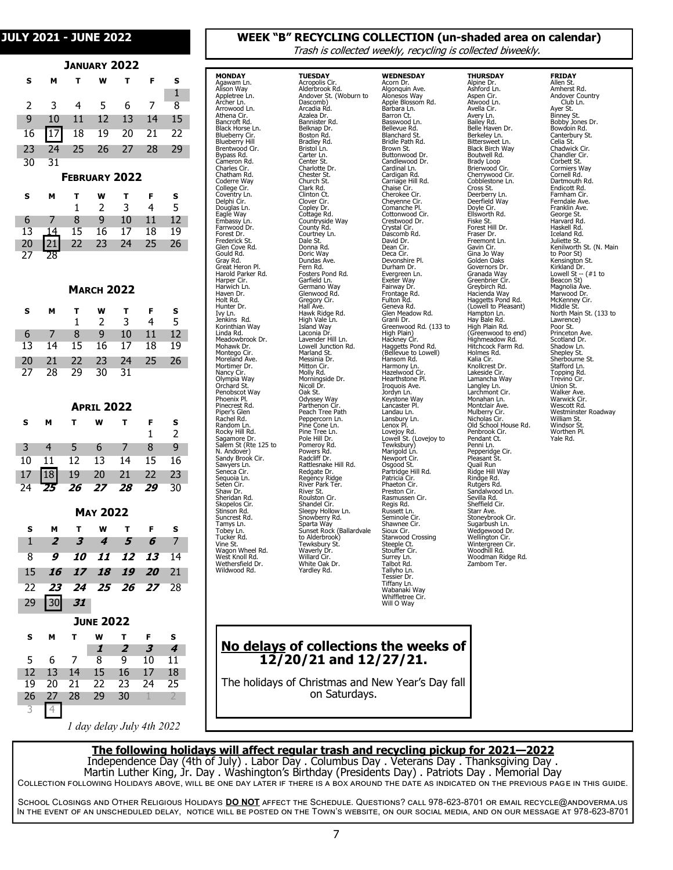#### **JANUARY 2022**

| s  | м  | т  | W                    | т  | F  | s  |  |
|----|----|----|----------------------|----|----|----|--|
|    |    |    |                      |    |    | 1  |  |
| 2  | 3  | 4  | 5                    | 6  | 7  | 8  |  |
| 9  | 10 | 11 | 12                   | 13 | 14 | 15 |  |
| 16 |    | 18 | 19                   | 20 | 21 | 22 |  |
| 23 | 24 | 25 | 26                   | 27 | 28 | 29 |  |
| 30 | 31 |    |                      |    |    |    |  |
|    |    |    | <b>FEBRUARY 2022</b> |    |    |    |  |
| s  | м  | т  | w                    | т  | F  | s  |  |
|    |    | 1  | 2                    | 3  | 4  | 5  |  |
| 6  | 7  | 8  | 9                    | 10 | 11 | 12 |  |
| 13 | 14 | 15 | 16                   | 17 | 18 | 19 |  |
| 20 | 21 | 22 | 23                   | 24 | 25 | 26 |  |
| 27 | 28 |    |                      |    |    |    |  |
|    |    |    |                      |    |    |    |  |

#### **MARCH 2022**

| s     | м   |                   | w              |              | $T \cdot F$ | s       |
|-------|-----|-------------------|----------------|--------------|-------------|---------|
|       |     | 1.                | $\overline{2}$ | $\mathbf{R}$ | 4           | -5      |
| $6 -$ |     | 7 8 9 10 11       |                |              |             | $_{12}$ |
| 13    |     | 14 15 16 17 18    |                |              |             | - 19    |
| 20    |     | 21 22 23 24 25 26 |                |              |             |         |
| 27    | -28 | - 29              | 30 31          |              |             |         |

| <b>APRIL 2022</b> |    |                  |                 |       |    |    |  |  |
|-------------------|----|------------------|-----------------|-------|----|----|--|--|
| s                 | м  | т                | w               | т     | F  | s  |  |  |
|                   |    |                  |                 |       | 1  | 2  |  |  |
| 3                 | 4  | 5                | 6               | 7     | 8  | 9  |  |  |
| 10                | 11 | 12               | 13              | 14    | 15 | 16 |  |  |
| 17                | 18 | 19               | 20              | 21    | 22 | 23 |  |  |
| 24                | 25 | 26               | 27              | 28    | 29 | 30 |  |  |
|                   |    |                  |                 |       |    |    |  |  |
|                   |    |                  | <b>MAY 2022</b> |       |    |    |  |  |
| s                 | м  | т                | w               | т     | F  | s  |  |  |
| 1                 | 2  | 3                | 4               | 5     | 6  | 7  |  |  |
| 8                 | 9  | <i><b>10</b></i> | 11              | 12    | 13 | 14 |  |  |
| 15                | 16 | 17               | 18              | 19    | 20 | 21 |  |  |
| 22                | 23 | 24               |                 | 25 26 | 27 | 28 |  |  |
| 29                |    | 31               |                 |       |    |    |  |  |
| <b>JUNE 2022</b>  |    |                  |                 |       |    |    |  |  |

| s  | м  |    | w  |     | F              | s  |
|----|----|----|----|-----|----------------|----|
|    |    |    | 1  | 2   | 3              | 4  |
| 5  | 6  | 7  | 8  | q   | 10             | 11 |
| 12 | 13 | 14 | 15 | 16  | 17             | 18 |
| 19 | 20 | 21 | 22 | -23 | $\overline{2}$ | 25 |
| 26 | 27 | 28 | 29 | 30  |                |    |
|    |    |    |    |     |                |    |

*1 day delay July 4th 2022*

#### **COLLECTION CALENDAR JULY 2021 - JUNE 2022 WEEK "B" RECYCLING COLLECTION (un-shaded area on calendar)**

Trash is collected weekly, recycling is collected biweekly.

| <b>MONDAY</b>                                  | <b>TUESDAY</b>                                         |
|------------------------------------------------|--------------------------------------------------------|
| Agawam Ln.                                     | Acropolis Cir.                                         |
| Alison Way                                     | Alderbrook Rd.                                         |
| Appletree Ln.                                  | Andover St. (Woburn to                                 |
| Archer Ln.<br>Arrowood Ln.                     | Dascomb)                                               |
| Athena Cir.                                    | Arcadia Rd.<br>Azalea Dr.                              |
| Bancroft Rd.                                   | Bannister Rd.                                          |
| Black Horse Ln.                                | Belknap Dr.                                            |
| Blueberry Cir.                                 | Boston Rd.                                             |
| Blueberry Hill                                 |                                                        |
| Brentwood Cir.                                 | Bradley Rd.<br>Bristol Ln.                             |
| Bypass Rd.                                     | Carter Ln.<br>Center St.                               |
| Cameron Rd.                                    |                                                        |
| C<br>harles Cir.                               | Charlotte Dr.<br>Chester St.<br>Clark Rd.<br>Clark Rd. |
| C<br>`hatham Rd.                               |                                                        |
| Coderre Way<br>College Cir<br>C<br>C           |                                                        |
|                                                | Clinton <sub>Ct.</sub>                                 |
| Coventry Ln.<br>Delphi Cir.                    | Clover Cir.                                            |
| Douglas Ln.                                    | Copley Dr.                                             |
| Eagle Way                                      | Cottage Rd.                                            |
| Embassy Ln.                                    |                                                        |
| Farrwood Dr.                                   | Countryside Way<br>County Rd.                          |
| Forest Dr.                                     | Courtney Ln.                                           |
| Frederick St.                                  | Dale St.                                               |
| Glen Cove Rd.                                  | Donna Rd.                                              |
| Gould Rd.                                      | Doric Way                                              |
| Gray Rd.                                       | Dundas Ave.                                            |
| Great Heron Pl.                                | Fern Rd.                                               |
| Harold Parker Rd.<br>Harper Cir.               | Fosters Pond Rd.<br>Garfield Ln.                       |
| Harwich Ln.                                    | Germano Way                                            |
| Haven Dr.                                      | Glenwood Rd.                                           |
| Holt Rd.                                       |                                                        |
| Hunter Dr.                                     | Gregory Cir.<br>Hall Ave.                              |
| Ivy Ln.                                        | Hawk Ridge Rd.                                         |
| Jenkins<br>Rd.                                 | High Vale Ln.                                          |
| Korinthian Way                                 | Island Way                                             |
| Linda Rd.                                      | Laconia Dr                                             |
| Meadowbrook Dr.                                | Lavender Hill Ln.                                      |
| Mohawk Dr.<br>Montego Cir.                     | Lowell Junction Rd.<br>Marland St.                     |
| Moreland Ave.                                  | Messinia Dr.                                           |
| Mortimer Dr.                                   | Mitton Cir.                                            |
| Nancy Cir.                                     | Molly Rd.                                              |
| Olympia Way                                    | Morningside Dr.                                        |
| Orchard St.                                    | Nicoll Dr.                                             |
| Penobscot Way                                  | Oak St.                                                |
| Phoenix Pl.                                    | Odyssey Way                                            |
| Pinecrest Rd.                                  | Parthenon Cir.                                         |
| Piper's Glen                                   | Peach Tree Path                                        |
| Rachel Rd.                                     | Peppercorn Ln.                                         |
| Random Ln.<br>Rocky Hill Rd.                   | Pine Cone Ln.<br>Pine Tree Ln.                         |
| Sagamore Dr.                                   | Pole Hill Dr.                                          |
| Salem St (Rte 125 to                           |                                                        |
|                                                | Pomeroy Rd.<br>Powers Rd.<br>Radcliff Dr.              |
| N. Andover)<br>Sandy Brook Cir.<br>Sawyers Ln. |                                                        |
|                                                | Rattlesnake Hill Rd.                                   |
| Seneca Cir.                                    | Redgate Dr.                                            |
| Sequoia Ln.                                    | Regency Ridge<br>River Park Ter.<br>River St.          |
| Seten Cir.                                     |                                                        |
| Shaw Dr.<br>Sheridan Rd.                       | Roulston Cir.                                          |
| Skopelos Cir.                                  | Shandel Cir.                                           |
| Stinson Rd.                                    | Sleepy Hollow <sub>, Ln</sub> .                        |
| Suncrest Rd.                                   | Snowberry Rd.                                          |
| Tamys Ln.                                      | Sparta Way                                             |
| Tobey Ln.                                      | Sunset Rock (Ballardvale                               |
| Tucker Rd.                                     | to Alderbrook)                                         |
| Vine St.                                       | Tewksbury St.                                          |
| Wagon Wheel Rd.                                | Waverly Dr.                                            |
| West Knoll Rd.<br>Wethersfield Dr.             | Willard Cir.<br>White Oak Dr.                          |
| Wildwood Rd.                                   | Yardley Rd.                                            |
|                                                |                                                        |

Arro Athena Cir. **Ban** Blac Blue Blue **Brend** 

**WEDNESDAY** Acorn Dr. Algonquin Ave. Alonesos Way Apple Blossom Rd. Barbara Ln. Barron Ct. Basswood Ln. Bellevue Rd. Blanchard St. Bridle Path Rd. Brown St. Buttonwood Dr. Candlewood Dr. Cardinal Ln. Cardigan Rd. Carriage Hill Rd. Chaise Cir. Cherokee Cir. Cheyenne Cir. Comanche Pl. Cottonwood Cir. Crestwood Dr. Crystal Cir. Dascomb Rd. David Dr. Dean Cir. Deca Cir. Devonshire Pl. Durham Dr. Evergreen Ln. Exeter Way Fairway Dr. Frontage Rd. Fulton Rd. Geneva Rd. Glen Meadow Rd. Granli Dr. Greenwood Rd. (133 to High Plain) Hackney Cir. Haggetts Pond Rd. (Bellevue to Lowell) Hansom Rd. Harmony Ln. Hazelwood Cir. Hearthstone Pl. Iroquois Ave. Jordyn Ln. Keystone Way Lancaster Pl. Landau Ln. Lansbury Ln. Lenox Pl. Lovejoy Rd. Lowell St. (Lovejoy to Tewksbury) Marigold Ln. Newport Cir. Osgood St. Partridge Hill Rd. Patricia Cir. Phaeton Cir. Preston Cir. Rasmussen Cir. Regis Rd. Russett Ln. Seminole Cir. Shawnee Cir. Sioux Cir. Starwood Crossing Steeple Ct. Stouffer Cir. Surrey Ln. Talbot Rd. Tallyho Ln. Tessier Dr. Tiffany Ln. Wabanaki Way Whiffletree Cir. Will O Way

**THURSDAY** Alpine Dr. Ashford Ln. Aspen Cir. Atwood Ln. Avella Cir. Avery Ln. Bailey Rd. Belle Haven Dr. Berkeley Ln. Bittersweet Ln. Black Birch Way Boutwell Rd. Brady Loop Brierwood Cir. Cherrywood Cir. Cobblestone Ln. Cross St. Deerberry Ln. Deerfield Way Doyle Cir. Ellsworth Rd. Fiske St. Forest Hill Dr. Fraser Dr. Freemont Ln. Gavin Cir. Gina Jo Way Golden Oaks Governors Dr. Granada Way Greenbrier Cir. Greybirch Rd. Hacienda Way Haggetts Pond Rd. (Lowell to Pleasant) Hampton Ln. Hay Bale Rd. High Plain Rd. (Greenwood to end) Highmeadow Rd. Hitchcock Farm Rd. Holmes Rd. Kalia Cir. Knollcrest Dr. Lakeside Cir. Lancaine Cir.<br>Lamancha Way Langley Ln. Larchmont Cir. Monahan Ln. Montclair Ave. Mulberry Cir. Nicholas Cir. Old School House Rd. Penbrook Cir. Pendant Ct.<br>Penni I n Penni Ln. Pepperidge Cir. Pleasant St. Quail Run Ridge Hill Way Rindge Rd. Rutgers Rd. Sandalwood Ln. Sevilla Rd. Sheffield Cir. Starr Ave. Stoneybrook Cir. Sugarbush Ln. Wedgewood Dr. Wellington Cir. Wintergreen Cir. Woodhill Rd. Woodman Ridge Rd.

Zambom Ter.

**FRIDAY** Allen St. Amherst Rd. Andover Country Club Ln. Ayer St. Binney St. Bobby Jones Dr. Bowdoin Rd. Canterbury St. Celia St. Chadwick Cir. Chandler Cir. Corbett St. Cormiers Way Cornell Rd. Dartmouth Rd. Endicott Rd. Farnham Cir. Ferndale Ave. Franklin Ave. George St. Harvard Rd. Haskell Rd. Iceland Rd. Juliette St. Kenilworth St. (N. Main to Poor St) Kensington St. Kirkland Dr. Lowell St -- (#1 to Beacon St) Magnolia Ave. Marwood Dr. McKenney Cir. Middle St. North Main St. (133 to Lawrence) Poor St. Princeton Ave. Scotland Dr. Shadow Ln. Shepley St. Sherbourne St. Stafford Ln. Topping Rd. Trevino Cir. Union St. Walker Ave. Warwick Cir. Wescott Rd. Westminster Roadway William St. Windsor St. Worthen Pl. Yale Rd.

#### **No delays of collections the weeks of 12/20/21 and 12/27/21.**

The holidays of Christmas and New Year's Day fall on Saturdays.

#### **The following holidays will affect regular trash and recycling pickup for 2021—2022**

Independence Day (4th of July) . Labor Day . Columbus Day . Veterans Day . Thanksgiving Day . Martin Luther King, Jr. Day . Washington's Birthday (Presidents Day) . Patriots Day . Memorial Day Collection following Holidays above, will be one day later if there is a box around the date as indicated on the previous page in this guide.

School Closings and Other Religious Holidays **DO NOT** affect the Schedule. Questions? call 978-623-8701 or email recycle@andoverma.us In the event of an unscheduled delay, notice will be posted on the Town's website, on our social media, and on our message at 978-623-8701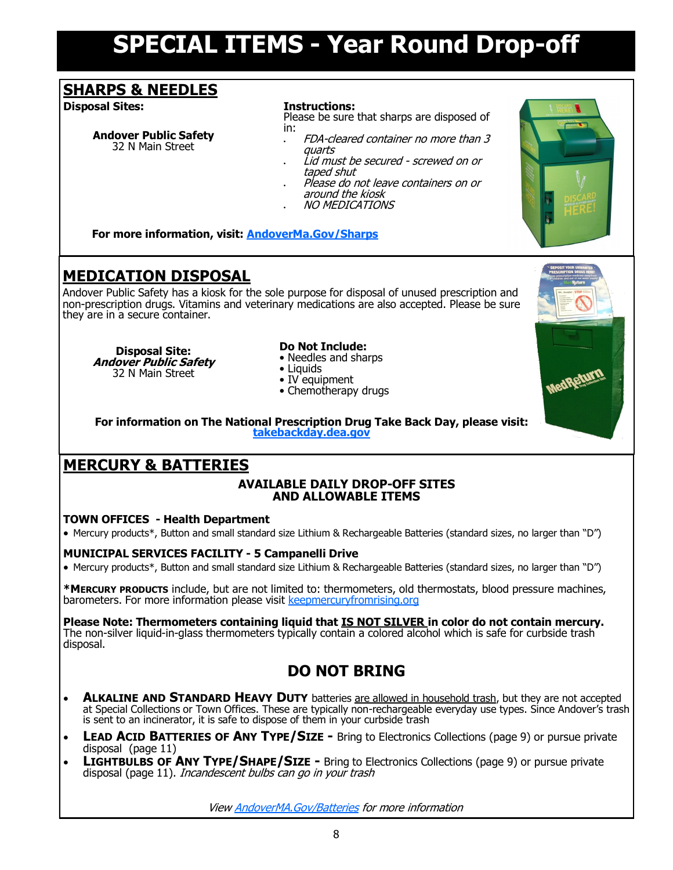## **SPECIAL ITEMS - Year Round Drop-off**

## **SHARPS & NEEDLES**

**Disposal Sites: Instructions:**

#### **Andover Public Safety** 32 N Main Street

Please be sure that sharps are disposed of in:

- FDA-cleared container no more than 3 quarts
- Lid must be secured screwed on or taped shut
- Please do not leave containers on or around the kiosk
- NO MEDICATIONS

**For more information, visit: [AndoverMa.Gov/Sharps](https://andoverma.gov/DocumentCenter/View/127/Sharps-Disposal-Flyer-PDF)**

## **MEDICATION DISPOSAL**

Andover Public Safety has a kiosk for the sole purpose for disposal of unused prescription and non-prescription drugs. Vitamins and veterinary medications are also accepted. Please be sure they are in a secure container.

**Disposal Site: Andover Public Safety** 32 N Main Street

#### **Do Not Include:**

- Needles and sharps
- Liquids
- IV equipment
- Chemotherapy drugs



**For information on The National Prescription Drug Take Back Day, please visit: [takebackday.dea.gov](https://takebackday.dea.gov/)**

## **MERCURY & BATTERIES**

#### **AVAILABLE DAILY DROP-OFF SITES AND ALLOWABLE ITEMS**

#### **TOWN OFFICES - Health Department**

• Mercury products\*, Button and small standard size Lithium & Rechargeable Batteries (standard sizes, no larger than "D")

#### **MUNICIPAL SERVICES FACILITY - 5 Campanelli Drive**

• Mercury products\*, Button and small standard size Lithium & Rechargeable Batteries (standard sizes, no larger than "D")

**\*MERCURY PRODUCTS** include, but are not limited to: thermometers, old thermostats, blood pressure machines, barometers. For more information please visit [keepmercuryfromrising.org](https://www.keepmercuryfromrising.org)

#### Please Note: Thermometers containing liquid that **IS NOT SILVER** in color do not contain mercury. The non-silver liquid-in-glass thermometers typically contain a colored alcohol which is safe for curbside trash disposal.

## **DO NOT BRING**

- **ALKALINE AND STANDARD HEAVY DUTY** batteries are allowed in household trash, but they are not accepted at Special Collections or Town Offices. These are typically non-rechargeable everyday use types. Since Andover's trash is sent to an incinerator, it is safe to dispose of them in your curbside trash
- **LEAD ACID BATTERIES OF ANY TYPE/SIZE -** Bring to Electronics Collections (page 9) or pursue private disposal (page 11)
- **LIGHTBULBS OF ANY TYPE/SHAPE/SIZE -** Bring to Electronics Collections (page 9) or pursue private disposal (page 11). Incandescent bulbs can go in your trash

View [AndoverMA.Gov/Batteries](https://andoverma.gov/DocumentCenter/View/9825/Batteries-PDF) for more information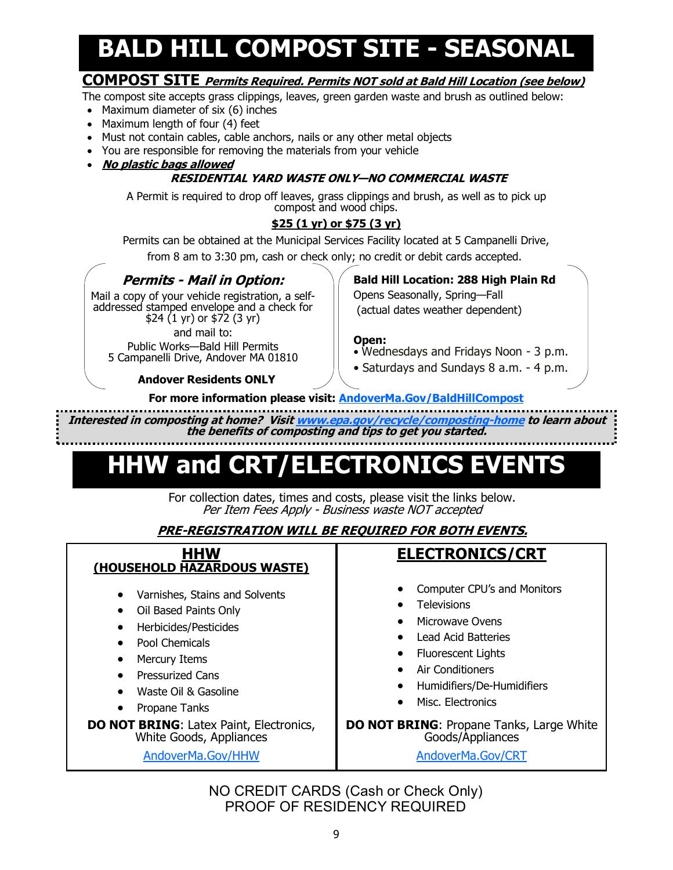## **BALD HILL COMPOST SITE - SEASONAL**

### **COMPOST SITE Permits Required. Permits NOT sold at Bald Hill Location (see below)**

The compost site accepts grass clippings, leaves, green garden waste and brush as outlined below:

- Maximum diameter of six (6) inches
- Maximum length of four (4) feet
- Must not contain cables, cable anchors, nails or any other metal objects
- You are responsible for removing the materials from your vehicle
- **No plastic bags allowed**

#### **RESIDENTIAL YARD WASTE ONLY—NO COMMERCIAL WASTE**

A Permit is required to drop off leaves, grass clippings and brush, as well as to pick up compost and wood chips.

#### **\$25 (1 yr) or \$75 (3 yr)**

Permits can be obtained at the Municipal Services Facility located at 5 Campanelli Drive, from 8 am to 3:30 pm, cash or check only; no credit or debit cards accepted.

### **Permits - Mail in Option:**

Mail a copy of your vehicle registration, a selfaddressed stamped envelope and a check for \$24 (1 yr) or \$72 (3 yr) and mail to:

Public Works—Bald Hill Permits

5 Campanelli Drive, Andover MA 01810

#### **Andover Residents ONLY**

**Bald Hill Location: 288 High Plain Rd**

Opens Seasonally, Spring—Fall (actual dates weather dependent)

#### **Open:**

- Wednesdays and Fridays Noon 3 p.m.
- Saturdays and Sundays 8 a.m. 4 p.m.
- **For more information please visit: [AndoverMa.Gov/BaldHillCompost](https://andoverma.gov/268/Bald-Hill-Compost-Site)**

**Interested in composting at home? Visit [www.epa.gov/recycle/composting](https://www.epa.gov/recycle/composting-home)-home to learn about the benefits of composting and tips to get you started.** 

## **HHW and CRT/ELECTRONICS EVENTS**

For collection dates, times and costs, please visit the links below. Per Item Fees Apply - Business waste NOT accepted

### **PRE-REGISTRATION WILL BE REQUIRED FOR BOTH EVENTS.**

| <b>HHW</b><br>(HOUSEHOLD HAZARDOUS WASTE)                                                                                                                                                                                                                                                                                                                                           | <b>ELECTRONICS/CRT</b>                                                                                                                                                                                                                                                                      |
|-------------------------------------------------------------------------------------------------------------------------------------------------------------------------------------------------------------------------------------------------------------------------------------------------------------------------------------------------------------------------------------|---------------------------------------------------------------------------------------------------------------------------------------------------------------------------------------------------------------------------------------------------------------------------------------------|
| Varnishes, Stains and Solvents<br>$\bullet$<br>Oil Based Paints Only<br>$\bullet$<br>Herbicides/Pesticides<br>$\bullet$<br><b>Pool Chemicals</b><br>$\bullet$<br>Mercury Items<br>٠<br><b>Pressurized Cans</b><br>Waste Oil & Gasoline<br>$\bullet$<br>Propane Tanks<br>$\bullet$<br><b>DO NOT BRING: Latex Paint, Electronics,</b><br>White Goods, Appliances<br>AndoverMa.Gov/HHW | Computer CPU's and Monitors<br><b>Televisions</b><br>Microwave Ovens<br>Lead Acid Batteries<br><b>Fluorescent Lights</b><br>Air Conditioners<br>Humidifiers/De-Humidifiers<br>Misc. Electronics<br><b>DO NOT BRING: Propane Tanks, Large White</b><br>Goods/Appliances<br>AndoverMa.Gov/CRT |

NO CREDIT CARDS (Cash or Check Only) PROOF OF RESIDENCY REQUIRED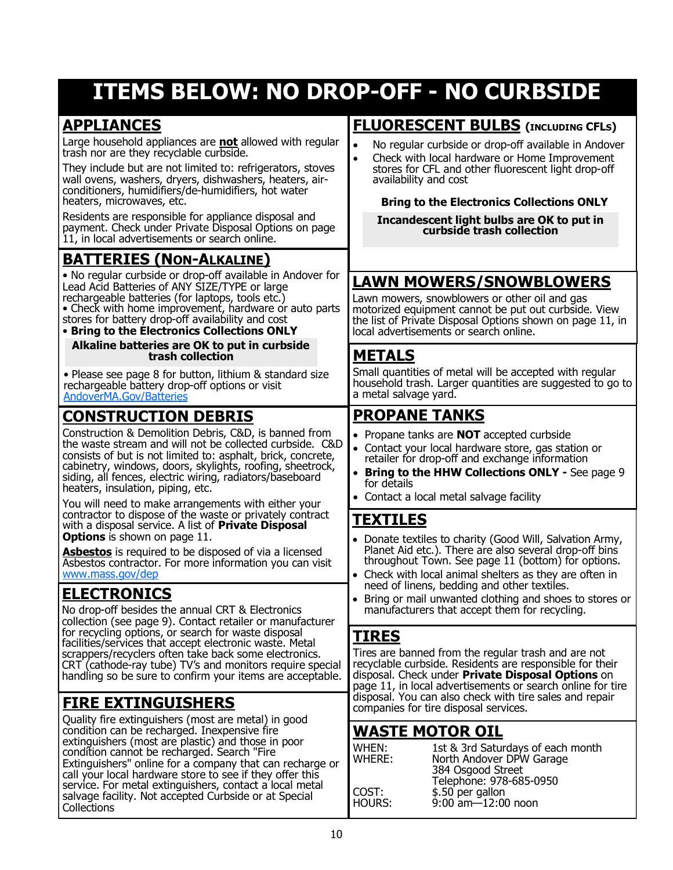## **ITEMS BELOW: NO DROP-OFF - NO CURBSIDE**

## **APPLIANCES**

**Collections** 

**WASTE MOTOR OIL** WHEN: 1st & 3rd Saturdays of each month WHERE: North Andover DPW Garage 384 Osgood Street Telephone: 978-685-0950 COST: \$.50 per gallon<br>HOURS: 9:00 am—12:00 9:00 am—12:00 noon **[PROPANE TANKS](http://www.mass.gov/eea/agencies/massdep/recycle/hazardous/propane-tanks.html)** • Propane tanks are **NOT** accepted curbside • Contact your local hardware store, gas station or retailer for drop-off and exchange information • **Bring to the HHW Collections ONLY -** See page 9 for details • Contact a local metal salvage facility **CONSTRUCTION DEBRIS** Construction & Demolition Debris, C&D, is banned from the waste stream and will not be collected curbside. C&D consists of but is not limited to: asphalt, brick, concrete, cabinetry, windows, doors, skylights, roofing, sheetrock, siding, all fences, electric wiring, radiators/baseboard heaters, insulation, piping, etc. You will need to make arrangements with either your contractor to dispose of the waste or privately contract with a disposal service. A list of **Private Disposal Options** is shown on page 11. **Asbestos** is required to be disposed of via a licensed Asbestos contractor. For more information you can visit [www.mass.gov/dep](https://www.mass.gov/service-details/licensed-asbestos-consultants-contractors-labs-training-providers) **TIRES** Tires are banned from the regular trash and are not recyclable curbside. Residents are responsible for their disposal. Check under **Private Disposal Options** on page 11, in local advertisements or search online for tire **FIRE EXTINGUISHERS** disposal. You can also check with tire sales and repair companies for tire disposal services. Quality fire extinguishers (most are metal) in good condition can be recharged. Inexpensive fire extinguishers (most are plastic) and those in poor condition cannot be recharged. Search "Fire Extinguishers" online for a company that can recharge or call your local hardware store to see if they offer this service. For metal extinguishers, contact a local metal salvage facility. Not accepted Curbside or at Special Large household appliances are **not** allowed with regular trash nor are they recyclable curbside. They include but are not limited to: refrigerators, stoves wall ovens, washers, dryers, dishwashers, heaters, airconditioners, humidifiers/de-humidifiers, hot water heaters, microwaves, etc. Residents are responsible for appliance disposal and payment. Check under Private Disposal Options on page 11, in local advertisements or search online. **FLUORESCENT BULBS (INCLUDING CFLS)** • No regular curbside or drop-off available in Andover • Check with local hardware or Home Improvement stores for CFL and other fluorescent light drop-off availability and cost **Bring to the Electronics Collections ONLY LAWN MOWERS/SNOWBLOWERS** Lawn mowers, snowblowers or other oil and gas motorized equipment cannot be put out curbside. View the list of Private Disposal Options shown on page 11, in local advertisements or search online. **BATTERIES (NON-ALKALINE)**  • No regular curbside or drop-off available in Andover for Lead Acid Batteries of ANY SIZE/TYPE or large rechargeable batteries (for laptops, tools etc.) • Check with home improvement, hardware or auto parts stores for battery drop-off availability and cost • **Bring to the Electronics Collections ONLY Alkaline batteries are OK to put in curbside trash collection Incandescent light bulbs are OK to put in curbside trash collection** • Please see page 8 for button, lithium & standard size rechargeable battery drop-off options or visit [AndoverMA.Gov/Batteries](https://andoverma.gov/DocumentCenter/View/9825/Batteries-PDF) **TEXTILES** • Donate textiles to charity (Good Will, Salvation Army, Planet Aid etc.). There are also several drop-off bins throughout Town. See page 11 (bottom) for options. Check with local animal shelters as they are often in need of linens, bedding and other textiles. Bring or mail unwanted clothing and shoes to stores or manufacturers that accept them for recycling. **ELECTRONICS** No drop-off besides the annual CRT & Electronics collection (see page 9). Contact retailer or manufacturer for recycling options, or search for waste disposal facilities/services that accept electronic waste. Metal scrappers/recyclers often take back some electronics. CRT (cathode-ray tube) TV's and monitors require special handling so be sure to confirm your items are acceptable. **METALS** Small quantities of metal will be accepted with regular household trash. Larger quantities are suggested to go to a metal salvage yard.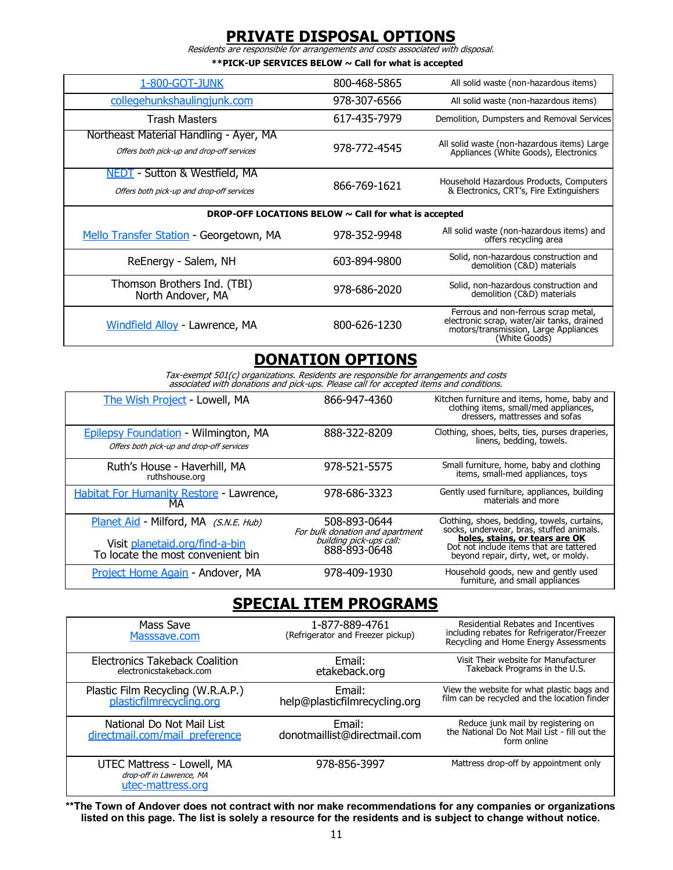### **PRIVATE DISPOSAL OPTIONS**

Residents are responsible for arrangements and costs associated with disposal.

**\*\*PICK-UP SERVICES BELOW ~ Call for what is accepted** 

| 1-800-GOT-JUNK                                                                      | 800-468-5865 | All solid waste (non-hazardous items)                                                                                                        |  |  |
|-------------------------------------------------------------------------------------|--------------|----------------------------------------------------------------------------------------------------------------------------------------------|--|--|
| collegehunkshaulingjunk.com                                                         | 978-307-6566 | All solid waste (non-hazardous items)                                                                                                        |  |  |
| <b>Trash Masters</b>                                                                | 617-435-7979 | Demolition, Dumpsters and Removal Services                                                                                                   |  |  |
| Northeast Material Handling - Ayer, MA<br>Offers both pick-up and drop-off services | 978-772-4545 | All solid waste (non-hazardous items) Large<br>Appliances (White Goods), Electronics                                                         |  |  |
| NEDT - Sutton & Westfield, MA<br>Offers both pick-up and drop-off services          | 866-769-1621 | Household Hazardous Products, Computers<br>& Electronics, CRT's, Fire Extinguishers                                                          |  |  |
| DROP-OFF LOCATIONS BELOW $\sim$ Call for what is accepted                           |              |                                                                                                                                              |  |  |
| Mello Transfer Station - Georgetown, MA                                             | 978-352-9948 | All solid waste (non-hazardous items) and<br>offers recycling area                                                                           |  |  |
| ReEnergy - Salem, NH                                                                | 603-894-9800 | Solid, non-hazardous construction and<br>demolition (C&D) materials                                                                          |  |  |
| Thomson Brothers Ind. (TBI)<br>North Andover, MA                                    | 978-686-2020 | Solid, non-hazardous construction and<br>demolition (C&D) materials                                                                          |  |  |
| Windfield Alloy - Lawrence, MA                                                      | 800-626-1230 | Ferrous and non-ferrous scrap metal,<br>electronic scrap, water/air tanks, drained<br>motors/transmission, Large Appliances<br>(White Goods) |  |  |

## **DONATION OPTIONS**

Tax-exempt 501(c) organizations. Residents are responsible for arrangements and costs associated with donations and pick-ups. Please call for accepted items and conditions.

| The Wish Project - Lowell, MA                                                                                | 866-947-4360                                                                               | Kitchen furniture and items, home, baby and<br>clothing items, small/med appliances,<br>dressers, mattresses and sofas                                                                                       |
|--------------------------------------------------------------------------------------------------------------|--------------------------------------------------------------------------------------------|--------------------------------------------------------------------------------------------------------------------------------------------------------------------------------------------------------------|
| <b>Epilepsy Foundation - Wilmington, MA</b><br>Offers both pick-up and drop-off services                     | 888-322-8209                                                                               | Clothing, shoes, belts, ties, purses draperies,<br>linens, bedding, towels.                                                                                                                                  |
| Ruth's House - Haverhill, MA<br>ruthshouse.org                                                               | 978-521-5575                                                                               | Small furniture, home, baby and clothing<br>items, small-med appliances, toys                                                                                                                                |
| <b>Habitat For Humanity Restore - Lawrence,</b><br>МA                                                        | 978-686-3323                                                                               | Gently used furniture, appliances, building<br>materials and more                                                                                                                                            |
| Planet Aid - Milford, MA (S.N.E. Hub)<br>Visit planetaid.org/find-a-bin<br>To locate the most convenient bin | 508-893-0644<br>For bulk donation and apartment<br>building pick-ups call:<br>888-893-0648 | Clothing, shoes, bedding, towels, curtains,<br>socks, underwear, bras, stuffed animals.<br>holes, stains, or tears are OK<br>Dot not include items that are tattered<br>beyond repair, dirty, wet, or moldy. |
| Project Home Again - Andover, MA                                                                             | 978-409-1930                                                                               | Household goods, new and gently used<br>furniture, and small appliances                                                                                                                                      |

## **SPECIAL ITEM PROGRAMS**

| Mass Save<br>Masssave.com                                                   | 1-877-889-4761<br>(Refrigerator and Freezer pickup) | Residential Rebates and Incentives<br>including rebates for Refrigerator/Freezer<br>Recycling and Home Energy Assessments |
|-----------------------------------------------------------------------------|-----------------------------------------------------|---------------------------------------------------------------------------------------------------------------------------|
| Electronics Takeback Coalition<br>electronicstakeback.com                   | Email:<br>etakeback.org                             | Visit Their website for Manufacturer<br>Takeback Programs in the U.S.                                                     |
| Plastic Film Recycling (W.R.A.P.)<br>plasticfilmrecycling.org               | Email:<br>help@plasticfilmrecycling.org             | View the website for what plastic bags and<br>film can be recycled and the location finder                                |
| National Do Not Mail List<br>directmail.com/mail preference                 | Email:<br>donotmaillist@directmail.com              | Reduce junk mail by registering on<br>the National Do Not Mail List - fill out the<br>form online                         |
| UTEC Mattress - Lowell, MA<br>drop-off in Lawrence, MA<br>utec-mattress.org | 978-856-3997                                        | Mattress drop-off by appointment only                                                                                     |

**\*\*The Town of Andover does not contract with nor make recommendations for any companies or organizations listed on this page. The list is solely a resource for the residents and is subject to change without notice.**